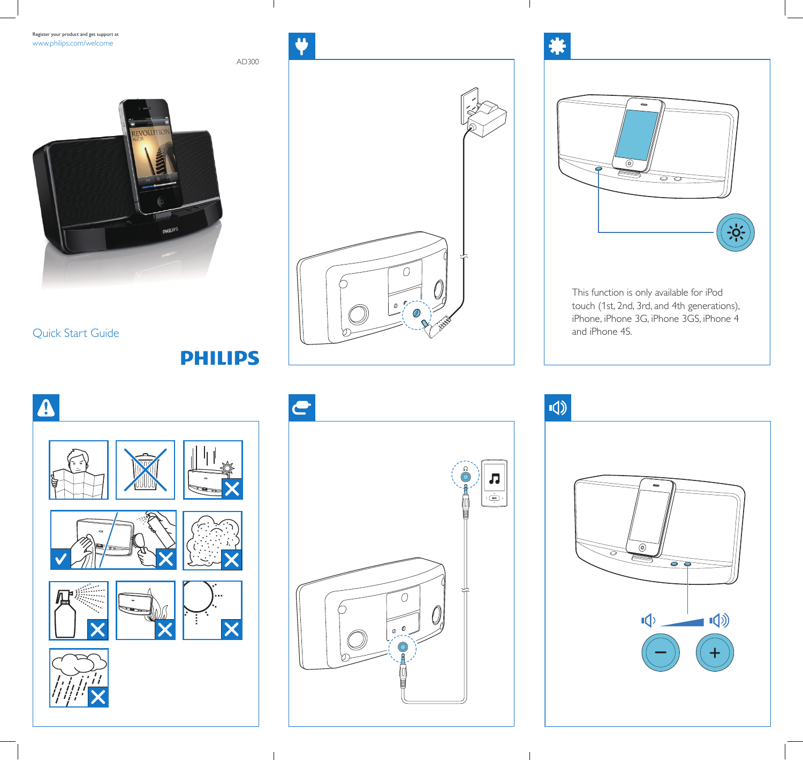Register your product and get support at www.philips.com/welcome



Quick Start Guide

# **PHILIPS**

AD300





This function is only available for iPod touch (1st, 2nd, 3rd, and 4th generations), iPhone, iPhone 3G, iPhone 3GS, iPhone 4 and iPhone 4S.





 $\sqrt{ }$  $\qquad \qquad \blacksquare$  $\circledcirc$  $\overline{\partial}$  $\circ$  $\blacksquare$  $\sqrt{2}$